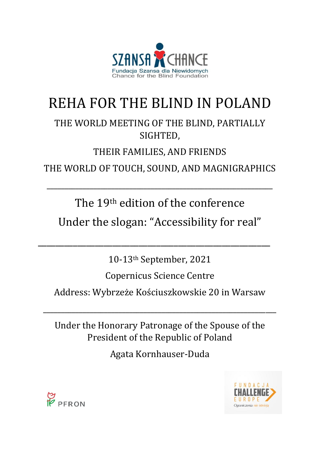

# REHA FOR THE BLIND IN POLAND

# THE WORLD MEETING OF THE BLIND, PARTIALLY SIGHTED,

# THEIR FAMILIES, AND FRIENDS

THE WORLD OF TOUCH, SOUND, AND MAGNIGRAPHICS

\_\_\_\_\_\_\_\_\_\_\_\_\_\_\_\_\_\_\_\_\_\_\_\_\_\_\_\_\_\_\_\_\_\_\_\_\_\_\_\_\_\_\_\_\_\_\_\_\_\_\_\_\_\_\_\_\_\_\_\_\_\_\_

The 19th edition of the conference

Under the slogan: "Accessibility for real"

\_\_\_\_\_\_\_\_\_\_\_\_\_\_\_\_\_\_\_\_\_\_\_\_\_\_\_\_\_\_\_\_\_\_\_\_\_\_\_\_\_\_\_\_\_\_\_\_\_\_\_\_\_

10-13th September, 2021

Copernicus Science Centre

Address: Wybrzeże Kościuszkowskie 20 in Warsaw

\_\_\_\_\_\_\_\_\_\_\_\_\_\_\_\_\_\_\_\_\_\_\_\_\_\_\_\_\_\_\_\_\_\_\_\_\_\_\_\_\_\_\_\_\_\_\_\_\_\_\_\_\_\_\_\_\_\_\_\_\_\_\_\_\_

Under the Honorary Patronage of the Spouse of the President of the Republic of Poland

Agata Kornhauser-Duda



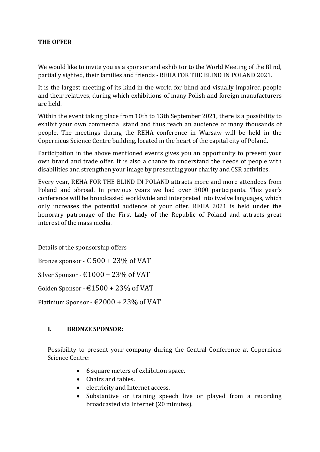#### **THE OFFER**

We would like to invite you as a sponsor and exhibitor to the World Meeting of the Blind, partially sighted, their families and friends - REHA FOR THE BLIND IN POLAND 2021.

It is the largest meeting of its kind in the world for blind and visually impaired people and their relatives, during which exhibitions of many Polish and foreign manufacturers are held.

Within the event taking place from 10th to 13th September 2021, there is a possibility to exhibit your own commercial stand and thus reach an audience of many thousands of people. The meetings during the REHA conference in Warsaw will be held in the Copernicus Science Centre building, located in the heart of the capital city of Poland.

Participation in the above mentioned events gives you an opportunity to present your own brand and trade offer. It is also a chance to understand the needs of people with disabilities and strengthen your image by presenting your charity and CSR activities.

Every year, REHA FOR THE BLIND IN POLAND attracts more and more attendees from Poland and abroad. In previous years we had over 3000 participants. This year's conference will be broadcasted worldwide and interpreted into twelve languages, which only increases the potential audience of your offer. REHA 2021 is held under the honorary patronage of the First Lady of the Republic of Poland and attracts great interest of the mass media.

Details of the sponsorship offers

Bronze sponsor -  $\epsilon$  500 + 23% of VAT

Silver Sponsor -  $\text{\textsterling}1000$  + 23% of VAT

Golden Sponsor -  $£1500 + 23%$  of VAT

Platinium Sponsor -  $\text{\textsterling}2000$  + 23% of VAT

#### **I. BRONZE SPONSOR:**

Possibility to present your company during the Central Conference at Copernicus Science Centre:

- 6 square meters of exhibition space.
- Chairs and tables.
- electricity and Internet access.
- Substantive or training speech live or played from a recording broadcasted via Internet (20 minutes).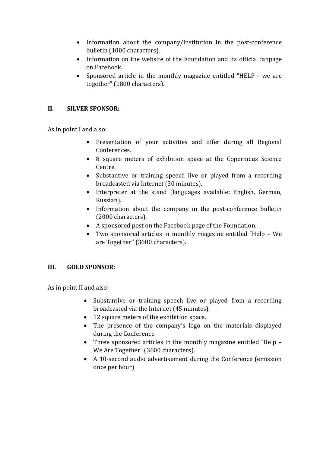- Information about the company/institution in the post-conference bulletin (1000 characters).
- Information on the website of the Foundation and its official fanpage on Facebook.
- Sponsored article in the monthly magazine entitled "HELP we are together" (1800 characters).

## **II. SILVER SPONSOR:**

As in point I and also:

- Presentation of your activities and offer during all Regional Conferences.
- 8 square meters of exhibition space at the Copernicus Science Centre.
- Substantive or training speech live or played from a recording broadcasted via Internet (30 minutes).
- Interpreter at the stand (languages available: English, German, Russian).
- Information about the company in the post-conference bulletin (2000 characters).
- A sponsored post on the Facebook page of the Foundation.
- Two sponsored articles in monthly magazine entitled "Help We are Together" (3600 characters).

## **III. GOLD SPONSOR:**

As in point II and also:

- Substantive or training speech live or played from a recording broadcasted via the Internet (45 minutes).
- 12 square meters of the exhibition space.
- The presence of the company's logo on the materials displayed during the Conference
- Three sponsored articles in the monthly magazine entitled "Help We Are Together" (3600 characters).
- A 10-second audio advertisement during the Conference (emission once per hour)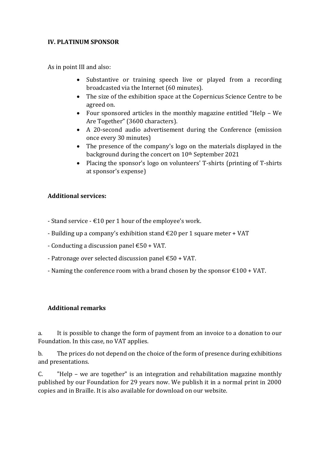#### **IV. PLATINUM SPONSOR**

As in point III and also:

- Substantive or training speech live or played from a recording broadcasted via the Internet (60 minutes).
- The size of the exhibition space at the Copernicus Science Centre to be agreed on.
- Four sponsored articles in the monthly magazine entitled "Help We Are Together" (3600 characters).
- A 20-second audio advertisement during the Conference (emission once every 30 minutes)
- The presence of the company's logo on the materials displayed in the background during the concert on 10<sup>th</sup> September 2021
- Placing the sponsor's logo on volunteers' T-shirts (printing of T-shirts at sponsor's expense)

## **Additional services:**

- Stand service  $\text{\textsterling}10$  per 1 hour of the employee's work.
- Building up a company's exhibition stand  $\epsilon$ 20 per 1 square meter + VAT
- Conducting a discussion panel  $\text{\textsterling}50$  + VAT.
- Patronage over selected discussion panel €50 + VAT.
- Naming the conference room with a brand chosen by the sponsor  $\text{\textsterling}100 + \text{VAT}$ .

## **Additional remarks**

a. It is possible to change the form of payment from an invoice to a donation to our Foundation. In this case, no VAT applies.

b. The prices do not depend on the choice of the form of presence during exhibitions and presentations.

C. "Help – we are together" is an integration and rehabilitation magazine monthly published by our Foundation for 29 years now. We publish it in a normal print in 2000 copies and in Braille. It is also available for download on our website.